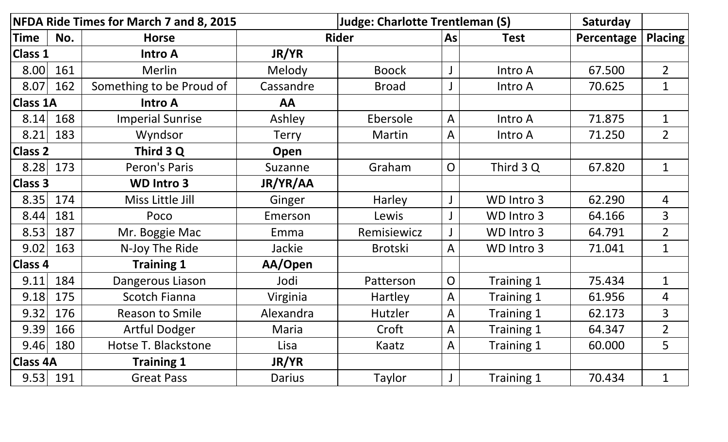| NFDA Ride Times for March 7 and 8, 2015 |     |                          |               | <b>Judge: Charlotte Trentleman (S)</b> | Saturday       |             |            |                |
|-----------------------------------------|-----|--------------------------|---------------|----------------------------------------|----------------|-------------|------------|----------------|
| <b>Time</b>                             | No. | <b>Horse</b>             |               | <b>Rider</b>                           | As             | <b>Test</b> | Percentage | <b>Placing</b> |
| <b>Class 1</b>                          |     | <b>Intro A</b>           | JR/YR         |                                        |                |             |            |                |
| 8.00                                    | 161 | <b>Merlin</b>            | Melody        | <b>Boock</b>                           |                | Intro A     | 67.500     | $\overline{2}$ |
| 8.07                                    | 162 | Something to be Proud of | Cassandre     | <b>Broad</b>                           |                | Intro A     | 70.625     | $\mathbf 1$    |
| <b>Class 1A</b>                         |     | <b>Intro A</b>           | AA            |                                        |                |             |            |                |
| 8.14                                    | 168 | <b>Imperial Sunrise</b>  | Ashley        | Ebersole                               | A              | Intro A     | 71.875     | $\mathbf 1$    |
| 8.21                                    | 183 | Wyndsor                  | <b>Terry</b>  | Martin                                 | A              | Intro A     | 71.250     | $\overline{2}$ |
| <b>Class 2</b>                          |     | Third 3 Q                | Open          |                                        |                |             |            |                |
| 8.28                                    | 173 | Peron's Paris            | Suzanne       | Graham                                 | $\overline{O}$ | Third 3 Q   | 67.820     | $\mathbf 1$    |
| <b>Class 3</b>                          |     | <b>WD Intro 3</b>        | JR/YR/AA      |                                        |                |             |            |                |
| 8.35                                    | 174 | Miss Little Jill         | Ginger        | Harley                                 |                | WD Intro 3  | 62.290     | 4              |
| 8.44                                    | 181 | Poco                     | Emerson       | Lewis                                  |                | WD Intro 3  | 64.166     | 3              |
| 8.53                                    | 187 | Mr. Boggie Mac           | Emma          | Remisiewicz                            |                | WD Intro 3  | 64.791     | $\overline{2}$ |
| 9.02                                    | 163 | N-Joy The Ride           | Jackie        | <b>Brotski</b>                         | A              | WD Intro 3  | 71.041     | $\mathbf 1$    |
| <b>Class 4</b>                          |     | <b>Training 1</b>        | AA/Open       |                                        |                |             |            |                |
| 9.11                                    | 184 | Dangerous Liason         | Jodi          | Patterson                              | $\overline{O}$ | Training 1  | 75.434     | $\mathbf 1$    |
| 9.18                                    | 175 | <b>Scotch Fianna</b>     | Virginia      | Hartley                                | A              | Training 1  | 61.956     | 4              |
| 9.32                                    | 176 | <b>Reason to Smile</b>   | Alexandra     | Hutzler                                | A              | Training 1  | 62.173     | 3              |
| 9.39                                    | 166 | <b>Artful Dodger</b>     | Maria         | Croft                                  | A              | Training 1  | 64.347     | $\overline{2}$ |
| 9.46                                    | 180 | Hotse T. Blackstone      | Lisa          | Kaatz                                  | A              | Training 1  | 60.000     | 5              |
| <b>Class 4A</b>                         |     | <b>Training 1</b>        | JR/YR         |                                        |                |             |            |                |
| $9.53$ 191                              |     | <b>Great Pass</b>        | <b>Darius</b> | Taylor                                 | $\mathsf{J}$   | Training 1  | 70.434     | $\mathbf 1$    |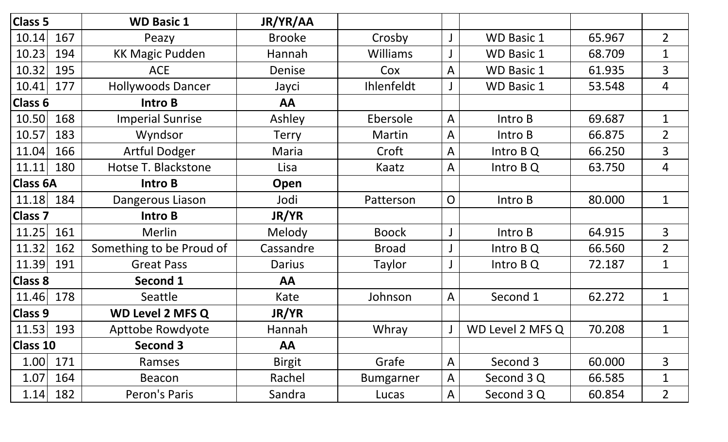| <b>Class 5</b>  |     | <b>WD Basic 1</b>        | JR/YR/AA      |                   |                |                   |        |                |
|-----------------|-----|--------------------------|---------------|-------------------|----------------|-------------------|--------|----------------|
| 10.14           | 167 | Peazy                    | <b>Brooke</b> | Crosby            |                | <b>WD Basic 1</b> | 65.967 | $\overline{2}$ |
| 10.23           | 194 | <b>KK Magic Pudden</b>   | Hannah        | <b>Williams</b>   |                | <b>WD Basic 1</b> | 68.709 | $\mathbf{1}$   |
| 10.32           | 195 | <b>ACE</b>               | Denise        | Cox               | A              | <b>WD Basic 1</b> | 61.935 | 3              |
| 10.41           | 177 | <b>Hollywoods Dancer</b> | Jayci         | <b>Ihlenfeldt</b> |                | <b>WD Basic 1</b> | 53.548 | 4              |
| Class 6         |     | Intro B                  | AA            |                   |                |                   |        |                |
| 10.50           | 168 | <b>Imperial Sunrise</b>  | Ashley        | Ebersole          | A              | Intro B           | 69.687 | $\mathbf 1$    |
| 10.57           | 183 | Wyndsor                  | <b>Terry</b>  | Martin            | A              | Intro B           | 66.875 | $\overline{2}$ |
| 11.04           | 166 | <b>Artful Dodger</b>     | Maria         | Croft             | A              | Intro B Q         | 66.250 | 3              |
| 11.11           | 180 | Hotse T. Blackstone      | Lisa          | Kaatz             | A              | Intro $BQ$        | 63.750 | 4              |
| <b>Class 6A</b> |     | Intro B                  | Open          |                   |                |                   |        |                |
| 11.18           | 184 | Dangerous Liason         | Jodi          | Patterson         | $\overline{O}$ | Intro B           | 80.000 | $\mathbf 1$    |
| <b>Class 7</b>  |     | Intro B                  | <b>JR/YR</b>  |                   |                |                   |        |                |
| 11.25           | 161 | Merlin                   | Melody        | <b>Boock</b>      |                | Intro B           | 64.915 | $\overline{3}$ |
| 11.32           | 162 | Something to be Proud of | Cassandre     | <b>Broad</b>      |                | Intro B Q         | 66.560 | $\overline{2}$ |
| 11.39           | 191 | <b>Great Pass</b>        | Darius        | Taylor            |                | Intro $BQ$        | 72.187 | $\mathbf 1$    |
| <b>Class 8</b>  |     | Second 1                 | AA            |                   |                |                   |        |                |
| 11.46           | 178 | Seattle                  | Kate          | Johnson           | A              | Second 1          | 62.272 | $\mathbf{1}$   |
| <b>Class 9</b>  |     | <b>WD Level 2 MFS Q</b>  | JR/YR         |                   |                |                   |        |                |
| 11.53           | 193 | <b>Apttobe Rowdyote</b>  | Hannah        | Whray             |                | WD Level 2 MFS Q  | 70.208 | $\mathbf 1$    |
| <b>Class 10</b> |     | <b>Second 3</b>          | AA            |                   |                |                   |        |                |
| 1.00            | 171 | Ramses                   | <b>Birgit</b> | Grafe             | A              | Second 3          | 60.000 | 3              |
| 1.07            | 164 | Beacon                   | Rachel        | <b>Bumgarner</b>  | A              | Second 3 Q        | 66.585 | $\mathbf 1$    |
| 1.14            | 182 | Peron's Paris            | Sandra        | Lucas             | $\mathsf{A}$   | Second 3 Q        | 60.854 | $\overline{2}$ |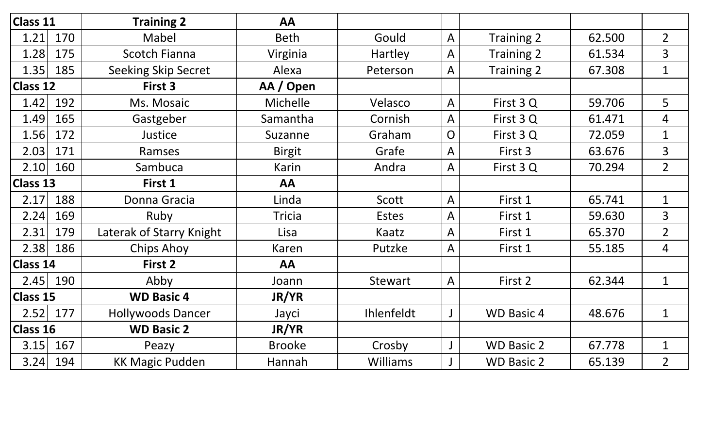| Class 11        |     | <b>Training 2</b>          | AA            |                 |                |                   |        |                |
|-----------------|-----|----------------------------|---------------|-----------------|----------------|-------------------|--------|----------------|
| 1.21            | 170 | Mabel                      | <b>Beth</b>   | Gould           | A              | Training 2        | 62.500 | $\overline{2}$ |
| 1.28            | 175 | <b>Scotch Fianna</b>       | Virginia      | Hartley         | A              | Training 2        | 61.534 | 3              |
| 1.35            | 185 | <b>Seeking Skip Secret</b> | Alexa         | Peterson        | A              | Training 2        | 67.308 | $\mathbf{1}$   |
| <b>Class 12</b> |     | First 3                    | AA / Open     |                 |                |                   |        |                |
| 1.42            | 192 | Ms. Mosaic                 | Michelle      | Velasco         | $\overline{A}$ | First 3 Q         | 59.706 | 5              |
| 1.49            | 165 | Gastgeber                  | Samantha      | Cornish         | A              | First 3 Q         | 61.471 | 4              |
| 1.56            | 172 | Justice                    | Suzanne       | Graham          | $\overline{O}$ | First 3 Q         | 72.059 | $\mathbf 1$    |
| 2.03            | 171 | Ramses                     | <b>Birgit</b> | Grafe           | A              | First 3           | 63.676 | 3              |
| 2.10            | 160 | Sambuca                    | Karin         | Andra           | A              | First 3 Q         | 70.294 | $\overline{2}$ |
| <b>Class 13</b> |     | First 1                    | AA            |                 |                |                   |        |                |
| 2.17            | 188 | Donna Gracia               | Linda         | Scott           | A              | First 1           | 65.741 | $\mathbf 1$    |
| 2.24            | 169 | Ruby                       | <b>Tricia</b> | <b>Estes</b>    | A              | First 1           | 59.630 | 3              |
| 2.31            | 179 | Laterak of Starry Knight   | Lisa          | Kaatz           | A              | First 1           | 65.370 | $\overline{2}$ |
| 2.38            | 186 | <b>Chips Ahoy</b>          | Karen         | Putzke          | A              | First 1           | 55.185 | 4              |
| Class 14        |     | First 2                    | AA            |                 |                |                   |        |                |
| 2.45            | 190 | Abby                       | Joann         | Stewart         | A              | First 2           | 62.344 | $\mathbf 1$    |
| <b>Class 15</b> |     | <b>WD Basic 4</b>          | JR/YR         |                 |                |                   |        |                |
| 2.52            | 177 | <b>Hollywoods Dancer</b>   | Jayci         | Ihlenfeldt      | J              | <b>WD Basic 4</b> | 48.676 | $\mathbf{1}$   |
| <b>Class 16</b> |     | <b>WD Basic 2</b>          | JR/YR         |                 |                |                   |        |                |
| 3.15            | 167 | Peazy                      | <b>Brooke</b> | Crosby          |                | <b>WD Basic 2</b> | 67.778 | $\mathbf{1}$   |
| 3.24            | 194 | <b>KK Magic Pudden</b>     | Hannah        | <b>Williams</b> |                | <b>WD Basic 2</b> | 65.139 | $\overline{2}$ |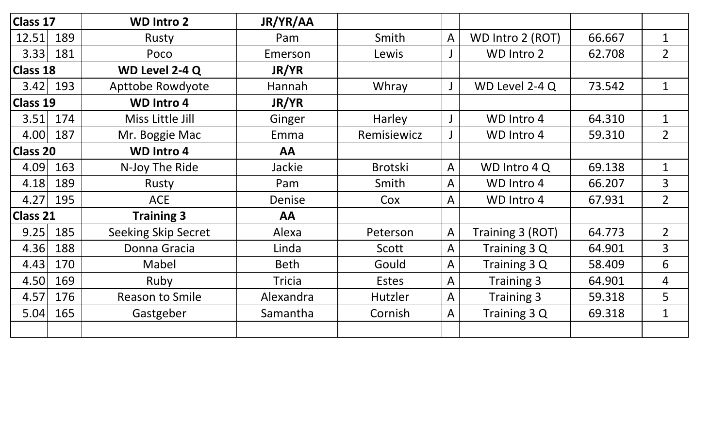| Class 17        |     | <b>WD Intro 2</b>          | JR/YR/AA      |                |              |                   |        |                |
|-----------------|-----|----------------------------|---------------|----------------|--------------|-------------------|--------|----------------|
| 12.51           | 189 | Rusty                      | Pam           | Smith          | $\mathsf{A}$ | WD Intro 2 (ROT)  | 66.667 | $\mathbf 1$    |
| 3.33            | 181 | Poco                       | Emerson       | Lewis          |              | WD Intro 2        | 62.708 | $\overline{2}$ |
| <b>Class 18</b> |     | WD Level 2-4 Q             | JR/YR         |                |              |                   |        |                |
| 3.42            | 193 | <b>Apttobe Rowdyote</b>    | Hannah        | Whray          |              | WD Level 2-4 Q    | 73.542 | $\mathbf 1$    |
| <b>Class 19</b> |     | <b>WD Intro 4</b>          | <b>JR/YR</b>  |                |              |                   |        |                |
| 3.51            | 174 | Miss Little Jill           | Ginger        | Harley         |              | WD Intro 4        | 64.310 | $\mathbf{1}$   |
| 4.00            | 187 | Mr. Boggie Mac             | Emma          | Remisiewicz    |              | WD Intro 4        | 59.310 | $\overline{2}$ |
| <b>Class 20</b> |     | <b>WD Intro 4</b>          | AA            |                |              |                   |        |                |
| 4.09            | 163 | N-Joy The Ride             | Jackie        | <b>Brotski</b> | A            | WD Intro 4 Q      | 69.138 | $\mathbf 1$    |
| 4.18            | 189 | Rusty                      | Pam           | Smith          | A            | WD Intro 4        | 66.207 | 3              |
| 4.27            | 195 | <b>ACE</b>                 | Denise        | Cox            | Α            | WD Intro 4        | 67.931 | $\overline{2}$ |
| Class 21        |     | <b>Training 3</b>          | AA            |                |              |                   |        |                |
| 9.25            | 185 | <b>Seeking Skip Secret</b> | Alexa         | Peterson       | A            | Training 3 (ROT)  | 64.773 | $\overline{2}$ |
| 4.36            | 188 | Donna Gracia               | Linda         | Scott          | A            | Training 3 Q      | 64.901 | 3              |
| 4.43            | 170 | Mabel                      | <b>Beth</b>   | Gould          | A            | Training 3 Q      | 58.409 | 6              |
| 4.50            | 169 | Ruby                       | <b>Tricia</b> | <b>Estes</b>   | A            | <b>Training 3</b> | 64.901 | 4              |
| 4.57            | 176 | <b>Reason to Smile</b>     | Alexandra     | Hutzler        | A            | Training 3        | 59.318 | 5              |
| 5.04            | 165 | Gastgeber                  | Samantha      | Cornish        | A            | Training 3 Q      | 69.318 | $\mathbf{1}$   |
|                 |     |                            |               |                |              |                   |        |                |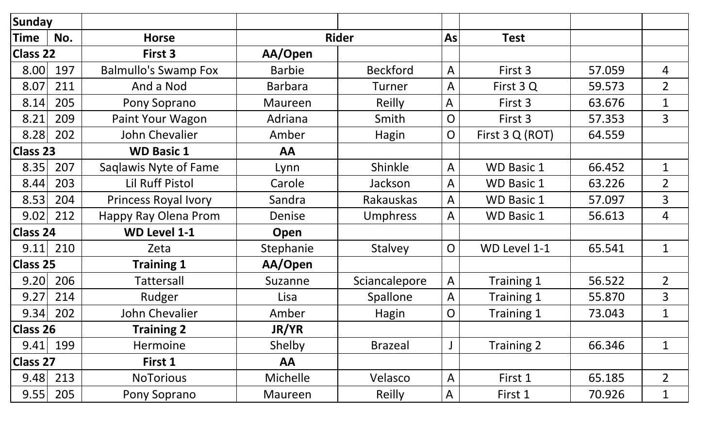| <b>Sunday</b>   |     |                             |                |                  |                |                   |        |                |
|-----------------|-----|-----------------------------|----------------|------------------|----------------|-------------------|--------|----------------|
| Time            | No. | <b>Horse</b>                |                | <b>Rider</b>     | As             | <b>Test</b>       |        |                |
| <b>Class 22</b> |     | First 3                     | AA/Open        |                  |                |                   |        |                |
| 8.00            | 197 | <b>Balmullo's Swamp Fox</b> | <b>Barbie</b>  | <b>Beckford</b>  | A              | First 3           | 57.059 | 4              |
| 8.07            | 211 | And a Nod                   | <b>Barbara</b> | Turner           | A              | First 3 Q         | 59.573 | $\overline{2}$ |
| 8.14            | 205 | Pony Soprano                | Maureen        | Reilly           | A              | First 3           | 63.676 | $\mathbf{1}$   |
| 8.21            | 209 | Paint Your Wagon            | Adriana        | Smith            | $\overline{O}$ | First 3           | 57.353 | 3              |
| 8.28            | 202 | John Chevalier              | Amber          | Hagin            | $\mathsf{O}$   | First 3 Q (ROT)   | 64.559 |                |
| <b>Class 23</b> |     | <b>WD Basic 1</b>           | AA             |                  |                |                   |        |                |
| 8.35            | 207 | Saglawis Nyte of Fame       | Lynn           | Shinkle          | A              | <b>WD Basic 1</b> | 66.452 | $\mathbf{1}$   |
| 8.44            | 203 | <b>Lil Ruff Pistol</b>      | Carole         | Jackson          | $\overline{A}$ | <b>WD Basic 1</b> | 63.226 | $\overline{2}$ |
| 8.53            | 204 | <b>Princess Royal Ivory</b> | Sandra         | <b>Rakauskas</b> | A              | <b>WD Basic 1</b> | 57.097 | 3              |
| 9.02            | 212 | Happy Ray Olena Prom        | Denise         | <b>Umphress</b>  | A              | <b>WD Basic 1</b> | 56.613 | 4              |
| <b>Class 24</b> |     | <b>WD Level 1-1</b>         | Open           |                  |                |                   |        |                |
| 9.11            | 210 | Zeta                        | Stephanie      | <b>Stalvey</b>   | $\overline{O}$ | WD Level 1-1      | 65.541 | $\mathbf 1$    |
| <b>Class 25</b> |     | <b>Training 1</b>           | AA/Open        |                  |                |                   |        |                |
| 9.20            | 206 | <b>Tattersall</b>           | Suzanne        | Sciancalepore    | $\overline{A}$ | Training 1        | 56.522 | $\overline{2}$ |
| 9.27            | 214 | Rudger                      | Lisa           | Spallone         | A              | Training 1        | 55.870 | 3              |
| 9.34            | 202 | John Chevalier              | Amber          | <b>Hagin</b>     | $\overline{O}$ | Training 1        | 73.043 | $\mathbf 1$    |
| <b>Class 26</b> |     | <b>Training 2</b>           | JR/YR          |                  |                |                   |        |                |
| 9.41            | 199 | Hermoine                    | Shelby         | <b>Brazeal</b>   | $\mathsf{J}$   | Training 2        | 66.346 | $\mathbf{1}$   |
| <b>Class 27</b> |     | First 1                     | AA             |                  |                |                   |        |                |
| 9.48            | 213 | <b>NoTorious</b>            | Michelle       | Velasco          | $\overline{A}$ | First 1           | 65.185 | $\overline{2}$ |
| 9.55            | 205 | Pony Soprano                | Maureen        | Reilly           | A              | First 1           | 70.926 | $\mathbf 1$    |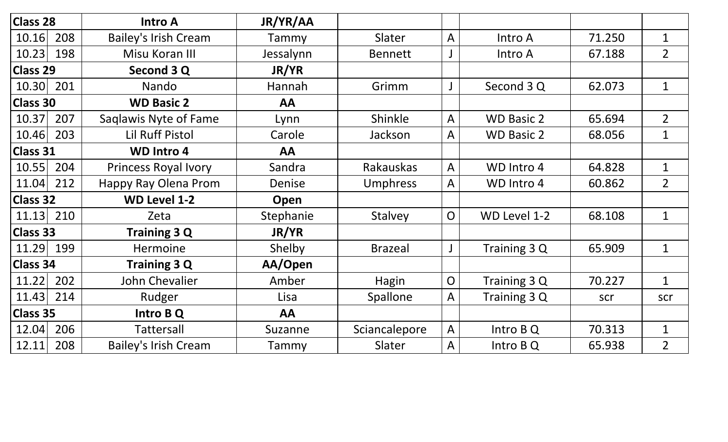| <b>Class 28</b> |     | <b>Intro A</b>              | JR/YR/AA  |                  |                |                   |        |                |
|-----------------|-----|-----------------------------|-----------|------------------|----------------|-------------------|--------|----------------|
| 10.16           | 208 | <b>Bailey's Irish Cream</b> | Tammy     | Slater           | A              | Intro A           | 71.250 | $\mathbf{1}$   |
| 10.23           | 198 | Misu Koran III              | Jessalynn | <b>Bennett</b>   |                | Intro A           | 67.188 | $\overline{2}$ |
| <b>Class 29</b> |     | Second 3 Q                  | JR/YR     |                  |                |                   |        |                |
| 10.30           | 201 | Nando                       | Hannah    | Grimm            | J              | Second 3 Q        | 62.073 | $\mathbf 1$    |
| <b>Class 30</b> |     | <b>WD Basic 2</b>           | AA        |                  |                |                   |        |                |
| 10.37           | 207 | Saglawis Nyte of Fame       | Lynn      | Shinkle          | A              | <b>WD Basic 2</b> | 65.694 | $\overline{2}$ |
| 10.46           | 203 | <b>Lil Ruff Pistol</b>      | Carole    | Jackson          | A              | <b>WD Basic 2</b> | 68.056 | $\mathbf{1}$   |
| <b>Class 31</b> |     | <b>WD Intro 4</b>           | AA        |                  |                |                   |        |                |
| 10.55           | 204 | <b>Princess Royal Ivory</b> | Sandra    | <b>Rakauskas</b> | $\overline{A}$ | WD Intro 4        | 64.828 | $\mathbf{1}$   |
| 11.04           | 212 | Happy Ray Olena Prom        | Denise    | <b>Umphress</b>  | A              | WD Intro 4        | 60.862 | $\overline{2}$ |
| <b>Class 32</b> |     | <b>WD Level 1-2</b>         | Open      |                  |                |                   |        |                |
| 11.13           | 210 | Zeta                        | Stephanie | <b>Stalvey</b>   | $\overline{O}$ | WD Level 1-2      | 68.108 | $\mathbf 1$    |
| <b>Class 33</b> |     | Training 3 Q                | JR/YR     |                  |                |                   |        |                |
| 11.29           | 199 | Hermoine                    | Shelby    | <b>Brazeal</b>   | $\mathsf J$    | Training 3 Q      | 65.909 | $\mathbf{1}$   |
| <b>Class 34</b> |     | Training 3 Q                | AA/Open   |                  |                |                   |        |                |
| 11.22           | 202 | John Chevalier              | Amber     | <b>Hagin</b>     | $\overline{O}$ | Training 3 Q      | 70.227 | $\mathbf{1}$   |
| 11.43           | 214 | Rudger                      | Lisa      | Spallone         | A              | Training 3 Q      | scr    | scr            |
| <b>Class 35</b> |     | Intro B Q                   | AA        |                  |                |                   |        |                |
| 12.04           | 206 | <b>Tattersall</b>           | Suzanne   | Sciancalepore    | $\mathsf{A}$   | Intro B Q         | 70.313 | $\mathbf{1}$   |
| 12.11           | 208 | <b>Bailey's Irish Cream</b> | Tammy     | Slater           | A              | Intro B Q         | 65.938 | $\overline{2}$ |